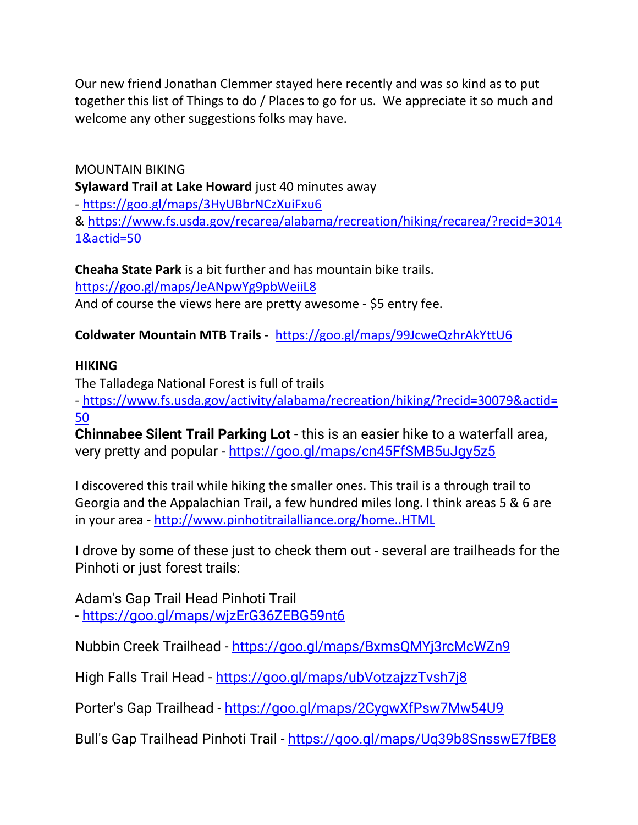Our new friend Jonathan Clemmer stayed here recently and was so kind as to put together this list of Things to do / Places to go for us. We appreciate it so much and welcome any other suggestions folks may have.

MOUNTAIN BIKING **Sylaward Trail at Lake Howard** just 40 minutes away - <https://goo.gl/maps/3HyUBbrNCzXuiFxu6> & [https://www.fs.usda.gov/recarea/alabama/recreation/hiking/recarea/?recid=3014](https://www.fs.usda.gov/recarea/alabama/recreation/hiking/recarea/?recid=30141&actid=50) [1&actid=50](https://www.fs.usda.gov/recarea/alabama/recreation/hiking/recarea/?recid=30141&actid=50)

**Cheaha State Park** is a bit further and has mountain bike trails. <https://goo.gl/maps/JeANpwYg9pbWeiiL8> And of course the views here are pretty awesome - \$5 entry fee.

## **Coldwater Mountain MTB Trails** - <https://goo.gl/maps/99JcweQzhrAkYttU6>

## **HIKING**

The Talladega National Forest is full of trails

- [https://www.fs.usda.gov/activity/alabama/recreation/hiking/?recid=30079&actid=](https://www.fs.usda.gov/activity/alabama/recreation/hiking/?recid=30079&actid=50) [50](https://www.fs.usda.gov/activity/alabama/recreation/hiking/?recid=30079&actid=50)

**Chinnabee Silent Trail Parking Lot** - this is an easier hike to a waterfall area, very pretty and popular - <https://goo.gl/maps/cn45FfSMB5uJgy5z5>

I discovered this trail while hiking the smaller ones. This trail is a through trail to Georgia and the Appalachian Trail, a few hundred miles long. I think areas 5 & 6 are in your area - [http://www.pinhotitrailalliance.org/home..HTML](http://www.pinhotitrailalliance.org/home..html)

I drove by some of these just to check them out - several are trailheads for the Pinhoti or just forest trails:

Adam's Gap Trail Head Pinhoti Trail - <https://goo.gl/maps/wjzErG36ZEBG59nt6>

Nubbin Creek Trailhead - <https://goo.gl/maps/BxmsQMYj3rcMcWZn9>

High Falls Trail Head - <https://goo.gl/maps/ubVotzajzzTvsh7j8>

Porter's Gap Trailhead - <https://goo.gl/maps/2CygwXfPsw7Mw54U9>

Bull's Gap Trailhead Pinhoti Trail - <https://goo.gl/maps/Uq39b8SnsswE7fBE8>